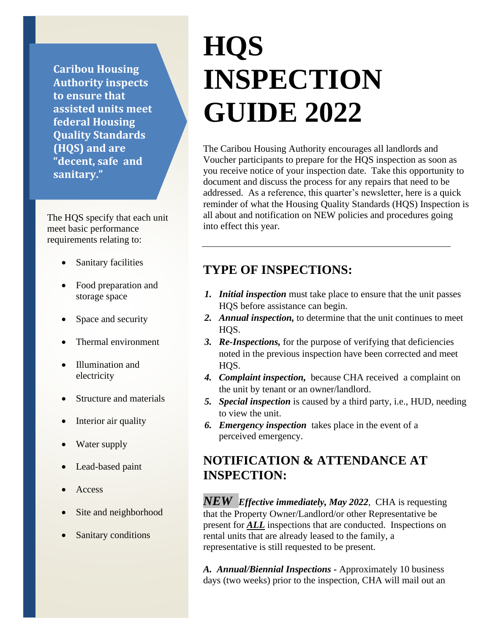**Caribou Housing Authority inspects to ensure that assisted units meet federal Housing Quality Standards (HQS) and are "decent, safe and sanitary."**

The HQS specify that each unit meet basic performance requirements relating to:

- Sanitary facilities
- Food preparation and storage space
- Space and security
- Thermal environment
- Illumination and electricity
- Structure and materials
- Interior air quality
- Water supply
- Lead-based paint
- Access
- Site and neighborhood
- Sanitary conditions

# **HQS INSPECTION GUIDE 2022**

The Caribou Housing Authority encourages all landlords and Voucher participants to prepare for the HQS inspection as soon as you receive notice of your inspection date. Take this opportunity to document and discuss the process for any repairs that need to be addressed. As a reference, this quarter's newsletter, here is a quick reminder of what the Housing Quality Standards (HQS) Inspection is all about and notification on NEW policies and procedures going into effect this year.

## **TYPE OF INSPECTIONS:**

- *1. Initial inspection* must take place to ensure that the unit passes HQS before assistance can begin.
- *2. Annual inspection,* to determine that the unit continues to meet HOS.
- *3. Re-Inspections,* for the purpose of verifying that deficiencies noted in the previous inspection have been corrected and meet HOS.
- *4. Complaint inspection,* because CHA received a complaint on the unit by tenant or an owner/landlord.
- *5. Special inspection* is caused by a third party, i.e., HUD, needing to view the unit.
- *6. Emergency inspection* takes place in the event of a perceived emergency.

# **NOTIFICATION & ATTENDANCE AT INSPECTION:**

*NEW Effective immediately, May 2022,* CHA is requesting that the Property Owner/Landlord/or other Representative be present for *ALL* inspections that are conducted. Inspections on rental units that are already leased to the family, a representative is still requested to be present.

*A. Annual/Biennial Inspections -* Approximately 10 business days (two weeks) prior to the inspection, CHA will mail out an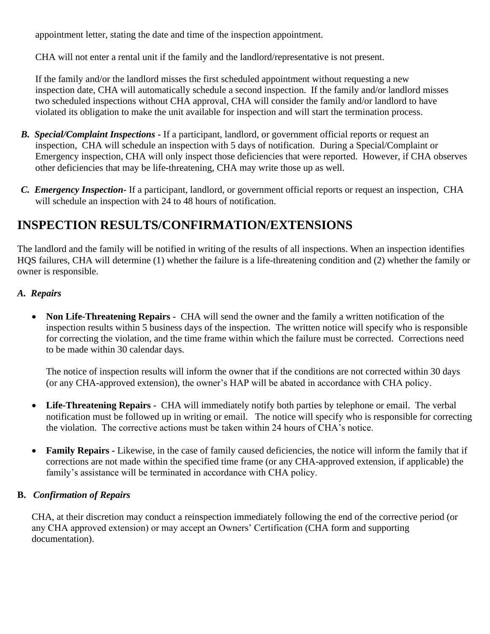appointment letter, stating the date and time of the inspection appointment.

CHA will not enter a rental unit if the family and the landlord/representative is not present.

If the family and/or the landlord misses the first scheduled appointment without requesting a new inspection date, CHA will automatically schedule a second inspection. If the family and/or landlord misses two scheduled inspections without CHA approval, CHA will consider the family and/or landlord to have violated its obligation to make the unit available for inspection and will start the termination process.

- *B. Special/Complaint Inspections -* If a participant, landlord, or government official reports or request an inspection, CHA will schedule an inspection with 5 days of notification. During a Special/Complaint or Emergency inspection, CHA will only inspect those deficiencies that were reported. However, if CHA observes other deficiencies that may be life-threatening, CHA may write those up as well.
- *C. Emergency Inspection-* If a participant, landlord, or government official reports or request an inspection, CHA will schedule an inspection with 24 to 48 hours of notification.

# **INSPECTION RESULTS/CONFIRMATION/EXTENSIONS**

The landlord and the family will be notified in writing of the results of all inspections. When an inspection identifies HQS failures, CHA will determine (1) whether the failure is a life-threatening condition and (2) whether the family or owner is responsible.

## *A. Repairs*

• **Non Life-Threatening Repairs -** CHA will send the owner and the family a written notification of the inspection results within 5 business days of the inspection. The written notice will specify who is responsible for correcting the violation, and the time frame within which the failure must be corrected. Corrections need to be made within 30 calendar days.

The notice of inspection results will inform the owner that if the conditions are not corrected within 30 days (or any CHA-approved extension), the owner's HAP will be abated in accordance with CHA policy.

- **Life-Threatening Repairs** CHA will immediately notify both parties by telephone or email. The verbal notification must be followed up in writing or email. The notice will specify who is responsible for correcting the violation. The corrective actions must be taken within 24 hours of CHA's notice.
- **Family Repairs -** Likewise, in the case of family caused deficiencies, the notice will inform the family that if corrections are not made within the specified time frame (or any CHA-approved extension, if applicable) the family's assistance will be terminated in accordance with CHA policy.

## **B.** *Confirmation of Repairs*

CHA, at their discretion may conduct a reinspection immediately following the end of the corrective period (or any CHA approved extension) or may accept an Owners' Certification (CHA form and supporting documentation).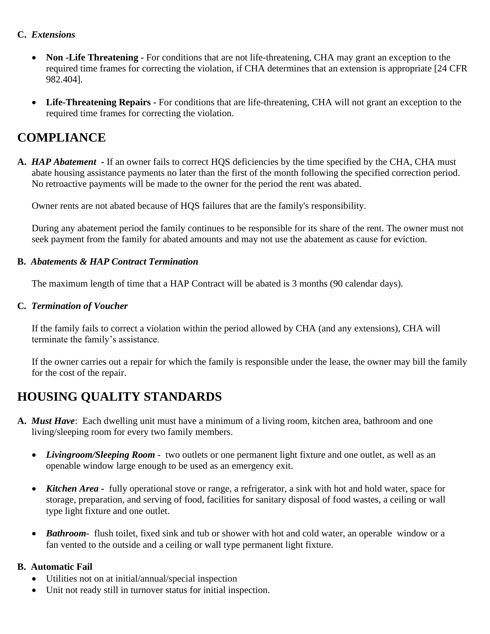#### **C.** *Extensions*

- **Non -Life Threatening -** For conditions that are not life-threatening, CHA may grant an exception to the required time frames for correcting the violation, if CHA determines that an extension is appropriate [24 CFR 982.404].
- **Life-Threatening Repairs -** For conditions that are life-threatening, CHA will not grant an exception to the required time frames for correcting the violation.

# **COMPLIANCE**

**A.** *HAP Abatement -* If an owner fails to correct HQS deficiencies by the time specified by the CHA, CHA must abate housing assistance payments no later than the first of the month following the specified correction period. No retroactive payments will be made to the owner for the period the rent was abated.

Owner rents are not abated because of HQS failures that are the family's responsibility.

During any abatement period the family continues to be responsible for its share of the rent. The owner must not seek payment from the family for abated amounts and may not use the abatement as cause for eviction.

## **B.** *Abatements & HAP Contract Termination*

The maximum length of time that a HAP Contract will be abated is 3 months (90 calendar days).

#### **C***. Termination of Voucher*

If the family fails to correct a violation within the period allowed by CHA (and any extensions), CHA will terminate the family's assistance.

If the owner carries out a repair for which the family is responsible under the lease, the owner may bill the family for the cost of the repair.

# **HOUSING QUALITY STANDARDS**

- **A.** *Must Have*: Each dwelling unit must have a minimum of a living room, kitchen area, bathroom and one living/sleeping room for every two family members.
	- *Livingroom/Sleeping Room* two outlets or one permanent light fixture and one outlet, as well as an openable window large enough to be used as an emergency exit.
	- *Kitchen Area* fully operational stove or range, a refrigerator, a sink with hot and hold water, space for storage, preparation, and serving of food, facilities for sanitary disposal of food wastes, a ceiling or wall type light fixture and one outlet.
	- *Bathroom* flush toilet, fixed sink and tub or shower with hot and cold water, an operable window or a fan vented to the outside and a ceiling or wall type permanent light fixture.

## **B.****Automatic Fail**

- Utilities not on at initial/annual/special inspection
- Unit not ready still in turnover status for initial inspection.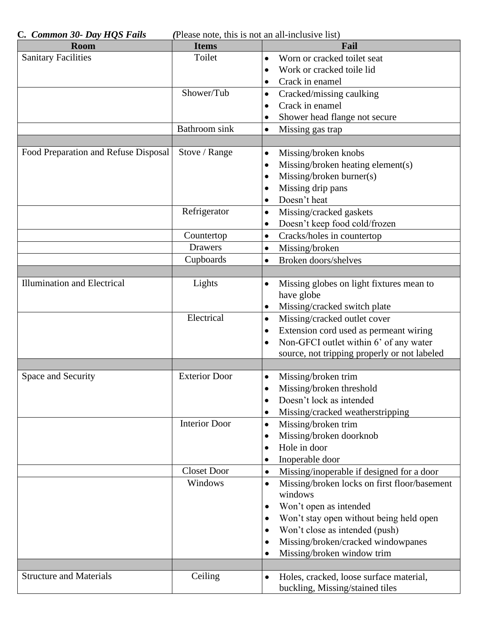| C. Common 30- Day HQS Fails<br>(Please note, this is not an all-inclusive list) |                      |                                                           |  |  |
|---------------------------------------------------------------------------------|----------------------|-----------------------------------------------------------|--|--|
| Room                                                                            | <b>Items</b>         | Fail                                                      |  |  |
| <b>Sanitary Facilities</b>                                                      | Toilet               | Worn or cracked toilet seat<br>$\bullet$                  |  |  |
|                                                                                 |                      | Work or cracked toile lid                                 |  |  |
|                                                                                 |                      | Crack in enamel                                           |  |  |
|                                                                                 | Shower/Tub           | Cracked/missing caulking<br>٠                             |  |  |
|                                                                                 |                      | Crack in enamel<br>$\bullet$                              |  |  |
|                                                                                 |                      | Shower head flange not secure                             |  |  |
|                                                                                 | Bathroom sink        | Missing gas trap<br>$\bullet$                             |  |  |
|                                                                                 |                      |                                                           |  |  |
| Food Preparation and Refuse Disposal                                            | Stove / Range        | Missing/broken knobs<br>$\bullet$                         |  |  |
|                                                                                 |                      | Missing/broken heating element(s)<br>٠                    |  |  |
|                                                                                 |                      | Missing/broken burner(s)<br>٠                             |  |  |
|                                                                                 |                      | Missing drip pans                                         |  |  |
|                                                                                 |                      | Doesn't heat                                              |  |  |
|                                                                                 | Refrigerator         | Missing/cracked gaskets<br>$\bullet$                      |  |  |
|                                                                                 |                      | Doesn't keep food cold/frozen<br>٠                        |  |  |
|                                                                                 | Countertop           | Cracks/holes in countertop<br>$\bullet$                   |  |  |
|                                                                                 | <b>Drawers</b>       | Missing/broken<br>$\bullet$                               |  |  |
|                                                                                 | Cupboards            | Broken doors/shelves<br>$\bullet$                         |  |  |
|                                                                                 |                      |                                                           |  |  |
| <b>Illumination and Electrical</b>                                              | Lights               | Missing globes on light fixtures mean to<br>٠             |  |  |
|                                                                                 |                      | have globe                                                |  |  |
|                                                                                 |                      | Missing/cracked switch plate<br>$\bullet$                 |  |  |
|                                                                                 | Electrical           | Missing/cracked outlet cover<br>$\bullet$                 |  |  |
|                                                                                 |                      | Extension cord used as permeant wiring<br>٠               |  |  |
|                                                                                 |                      | Non-GFCI outlet within 6' of any water<br>$\bullet$       |  |  |
|                                                                                 |                      | source, not tripping properly or not labeled              |  |  |
|                                                                                 |                      |                                                           |  |  |
| Space and Security                                                              | <b>Exterior Door</b> | Missing/broken trim<br>$\bullet$                          |  |  |
|                                                                                 |                      | Missing/broken threshold                                  |  |  |
|                                                                                 |                      | Doesn't lock as intended                                  |  |  |
|                                                                                 |                      | Missing/cracked weatherstripping<br>٠                     |  |  |
|                                                                                 | <b>Interior Door</b> | Missing/broken trim<br>$\bullet$                          |  |  |
|                                                                                 |                      | Missing/broken doorknob<br>٠                              |  |  |
|                                                                                 |                      | Hole in door                                              |  |  |
|                                                                                 |                      | Inoperable door<br>٠                                      |  |  |
|                                                                                 | <b>Closet Door</b>   | Missing/inoperable if designed for a door<br>$\bullet$    |  |  |
|                                                                                 | Windows              | Missing/broken locks on first floor/basement<br>$\bullet$ |  |  |
|                                                                                 |                      | windows                                                   |  |  |
|                                                                                 |                      | Won't open as intended<br>٠                               |  |  |
|                                                                                 |                      | Won't stay open without being held open<br>$\bullet$      |  |  |
|                                                                                 |                      | Won't close as intended (push)                            |  |  |
|                                                                                 |                      |                                                           |  |  |
|                                                                                 |                      | Missing/broken/cracked windowpanes                        |  |  |
|                                                                                 |                      | Missing/broken window trim<br>٠                           |  |  |
| <b>Structure and Materials</b>                                                  |                      |                                                           |  |  |
|                                                                                 | Ceiling              | Holes, cracked, loose surface material,<br>$\bullet$      |  |  |
|                                                                                 |                      | buckling, Missing/stained tiles                           |  |  |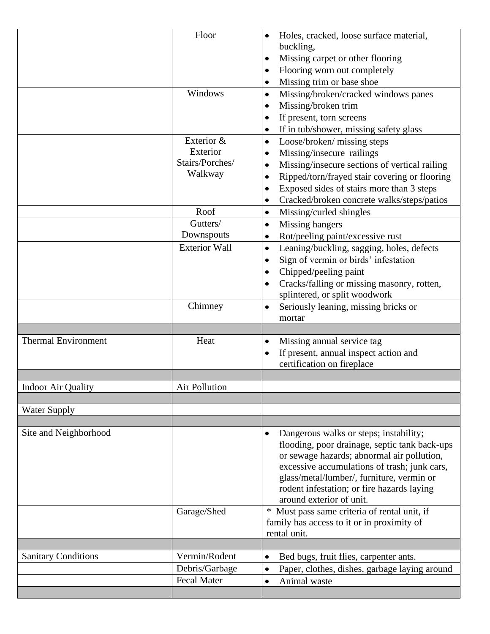|                            | Floor                | Holes, cracked, loose surface material,                    |
|----------------------------|----------------------|------------------------------------------------------------|
|                            |                      | buckling,                                                  |
|                            |                      | Missing carpet or other flooring<br>٠                      |
|                            |                      | Flooring worn out completely<br>$\bullet$                  |
|                            |                      | Missing trim or base shoe<br>٠                             |
|                            | Windows              | Missing/broken/cracked windows panes<br>$\bullet$          |
|                            |                      |                                                            |
|                            |                      | Missing/broken trim<br>٠                                   |
|                            |                      | If present, torn screens<br>٠                              |
|                            |                      | If in tub/shower, missing safety glass<br>٠                |
|                            | Exterior &           | Loose/broken/ missing steps<br>$\bullet$                   |
|                            | Exterior             | Missing/insecure railings                                  |
|                            | Stairs/Porches/      | Missing/insecure sections of vertical railing<br>$\bullet$ |
|                            | Walkway              | Ripped/torn/frayed stair covering or flooring              |
|                            |                      | Exposed sides of stairs more than 3 steps<br>$\bullet$     |
|                            |                      | Cracked/broken concrete walks/steps/patios<br>٠            |
|                            | Roof                 | Missing/curled shingles<br>$\bullet$                       |
|                            | Gutters/             | Missing hangers<br>$\bullet$                               |
|                            | Downspouts           | Rot/peeling paint/excessive rust<br>٠                      |
|                            | <b>Exterior Wall</b> | Leaning/buckling, sagging, holes, defects<br>$\bullet$     |
|                            |                      |                                                            |
|                            |                      | Sign of vermin or birds' infestation<br>$\bullet$          |
|                            |                      | Chipped/peeling paint<br>$\bullet$                         |
|                            |                      | Cracks/falling or missing masonry, rotten,                 |
|                            |                      | splintered, or split woodwork                              |
|                            | Chimney              | Seriously leaning, missing bricks or<br>$\bullet$          |
|                            |                      | mortar                                                     |
|                            |                      |                                                            |
| <b>Thermal Environment</b> | Heat                 | Missing annual service tag<br>$\bullet$                    |
|                            |                      | If present, annual inspect action and<br>$\bullet$         |
|                            |                      | certification on fireplace                                 |
|                            |                      |                                                            |
| Indoor Air Quality         | Air Pollution        |                                                            |
|                            |                      |                                                            |
| <b>Water Supply</b>        |                      |                                                            |
|                            |                      |                                                            |
| Site and Neighborhood      |                      | Dangerous walks or steps; instability;<br>٠                |
|                            |                      | flooding, poor drainage, septic tank back-ups              |
|                            |                      | or sewage hazards; abnormal air pollution,                 |
|                            |                      | excessive accumulations of trash; junk cars,               |
|                            |                      | glass/metal/lumber/, furniture, vermin or                  |
|                            |                      | rodent infestation; or fire hazards laying                 |
|                            |                      | around exterior of unit.                                   |
|                            | Garage/Shed          | * Must pass same criteria of rental unit, if               |
|                            |                      | family has access to it or in proximity of                 |
|                            |                      | rental unit.                                               |
|                            |                      |                                                            |
| <b>Sanitary Conditions</b> | Vermin/Rodent        | Bed bugs, fruit flies, carpenter ants.<br>$\bullet$        |
|                            | Debris/Garbage       | Paper, clothes, dishes, garbage laying around<br>$\bullet$ |
|                            |                      |                                                            |
|                            |                      |                                                            |
|                            | <b>Fecal Mater</b>   | Animal waste<br>$\bullet$                                  |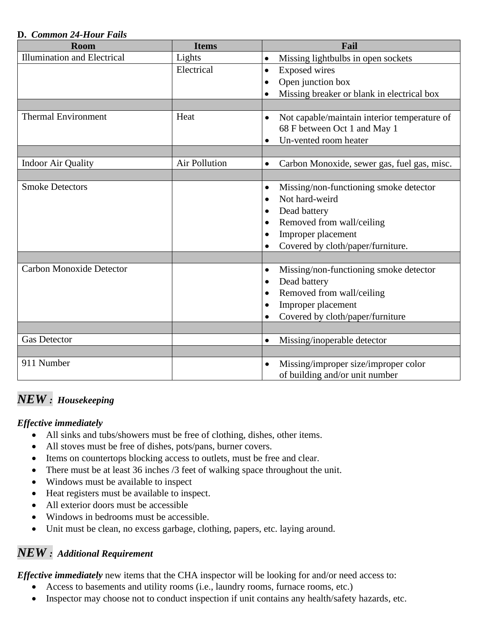#### **D.** *Common 24-Hour Fails*

| Room                               | <b>Items</b>         | Fail                                                      |
|------------------------------------|----------------------|-----------------------------------------------------------|
| <b>Illumination and Electrical</b> | Lights               | Missing lightbulbs in open sockets<br>$\bullet$           |
|                                    | Electrical           | <b>Exposed</b> wires<br>٠                                 |
|                                    |                      | Open junction box<br>٠                                    |
|                                    |                      | Missing breaker or blank in electrical box<br>$\bullet$   |
|                                    |                      |                                                           |
| <b>Thermal Environment</b>         | Heat                 | Not capable/maintain interior temperature of<br>$\bullet$ |
|                                    |                      | 68 F between Oct 1 and May 1                              |
|                                    |                      | Un-vented room heater<br>$\bullet$                        |
|                                    |                      |                                                           |
| <b>Indoor Air Quality</b>          | <b>Air Pollution</b> | Carbon Monoxide, sewer gas, fuel gas, misc.<br>$\bullet$  |
|                                    |                      |                                                           |
| <b>Smoke Detectors</b>             |                      | Missing/non-functioning smoke detector<br>$\bullet$       |
|                                    |                      | Not hard-weird                                            |
|                                    |                      | Dead battery                                              |
|                                    |                      | Removed from wall/ceiling                                 |
|                                    |                      | Improper placement                                        |
|                                    |                      | Covered by cloth/paper/furniture.<br>$\bullet$            |
|                                    |                      |                                                           |
| <b>Carbon Monoxide Detector</b>    |                      | Missing/non-functioning smoke detector<br>$\bullet$       |
|                                    |                      | Dead battery                                              |
|                                    |                      | Removed from wall/ceiling<br>$\bullet$                    |
|                                    |                      | Improper placement<br>$\bullet$                           |
|                                    |                      | Covered by cloth/paper/furniture                          |
|                                    |                      |                                                           |
| <b>Gas Detector</b>                |                      | Missing/inoperable detector<br>$\bullet$                  |
|                                    |                      |                                                           |
| 911 Number                         |                      | Missing/improper size/improper color<br>$\bullet$         |
|                                    |                      | of building and/or unit number                            |

## *NEW : Housekeeping*

## *Effective immediately*

- All sinks and tubs/showers must be free of clothing, dishes, other items.
- All stoves must be free of dishes, pots/pans, burner covers.
- Items on countertops blocking access to outlets, must be free and clear.
- There must be at least 36 inches /3 feet of walking space throughout the unit.
- Windows must be available to inspect
- Heat registers must be available to inspect.
- All exterior doors must be accessible
- Windows in bedrooms must be accessible.
- Unit must be clean, no excess garbage, clothing, papers, etc. laying around.

## *NEW : Additional Requirement*

*Effective immediately* new items that the CHA inspector will be looking for and/or need access to:

- Access to basements and utility rooms (i.e., laundry rooms, furnace rooms, etc.)
- Inspector may choose not to conduct inspection if unit contains any health/safety hazards, etc.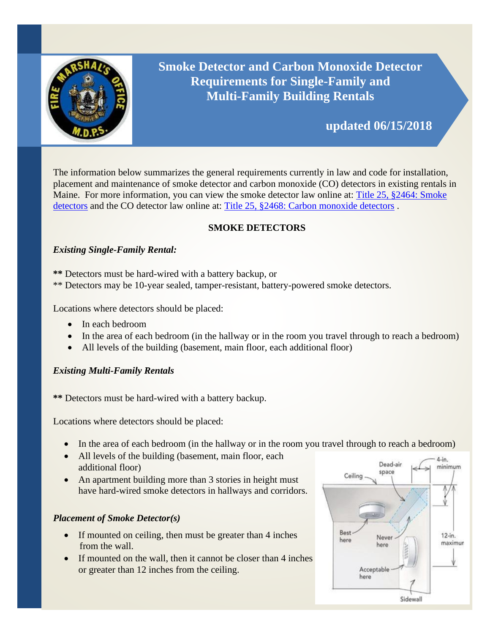

# **Smoke Detector and Carbon Monoxide Detector Requirements for Single-Family and Multi-Family Building Rentals**

## **updated 06/15/2018**

The information below summarizes the general requirements currently in law and code for installation, placement and maintenance of smoke detector and carbon monoxide (CO) detectors in existing rentals in Maine. For more information, you can view the smoke detector law online at: [Title 25, §2464: Smoke](http://www.mainelegislature.org/legis/statutes/25/title25sec2464.html)  [detectors](http://www.mainelegislature.org/legis/statutes/25/title25sec2464.html) [a](http://www.mainelegislature.org/legis/statutes/25/title25sec2464.html)nd the CO detector law online at: [Title 25, §2468: Carbon monoxide detectors](http://www.mainelegislature.org/legis/statutes/25/title25sec2468.html).

## **SMOKE DETECTORS**

## *Existing Single-Family Rental:*

- **\*\*** Detectors must be hard-wired with a battery backup, or
- \*\* Detectors may be 10-year sealed, tamper-resistant, battery-powered smoke detectors.

Locations where detectors should be placed:

- In each bedroom
- In the area of each bedroom (in the hallway or in the room you travel through to reach a bedroom)
- All levels of the building (basement, main floor, each additional floor)

## *Existing Multi-Family Rentals*

**\*\*** Detectors must be hard-wired with a battery backup.

Locations where detectors should be placed:

- In the area of each bedroom (in the hallway or in the room you travel through to reach a bedroom)
- All levels of the building (basement, main floor, each additional floor)
- An apartment building more than 3 stories in height must have hard-wired smoke detectors in hallways and corridors.

## *Placement of Smoke Detector(s)*

- If mounted on ceiling, then must be greater than 4 inches from the wall.
- If mounted on the wall, then it cannot be closer than 4 inches or greater than 12 inches from the ceiling.

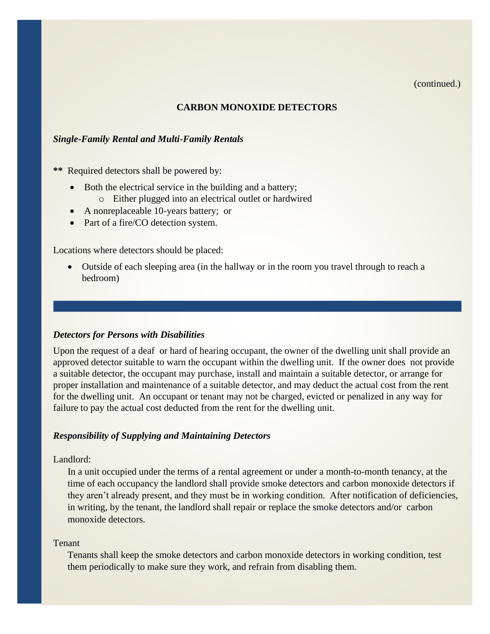(continued.)

#### **CARBON MONOXIDE DETECTORS**

#### *Single-Family Rental and Multi-Family Rentals*

**\*\*** Required detectors shall be powered by:

- Both the electrical service in the building and a battery;
	- o Either plugged into an electrical outlet or hardwired
- A nonreplaceable 10-years battery; or
- Part of a fire/CO detection system.

Locations where detectors should be placed:

• Outside of each sleeping area (in the hallway or in the room you travel through to reach a bedroom)

#### *Detectors for Persons with Disabilities*

Upon the request of a deaf or hard of hearing occupant, the owner of the dwelling unit shall provide an approved detector suitable to warn the occupant within the dwelling unit. If the owner does not provide a suitable detector, the occupant may purchase, install and maintain a suitable detector, or arrange for proper installation and maintenance of a suitable detector, and may deduct the actual cost from the rent for the dwelling unit. An occupant or tenant may not be charged, evicted or penalized in any way for failure to pay the actual cost deducted from the rent for the dwelling unit.

#### *Responsibility of Supplying and Maintaining Detectors*

Landlord:

In a unit occupied under the terms of a rental agreement or under a month-to-month tenancy, at the time of each occupancy the landlord shall provide smoke detectors and carbon monoxide detectors if they aren't already present, and they must be in working condition. After notification of deficiencies, in writing, by the tenant, the landlord shall repair or replace the smoke detectors and/or carbon monoxide detectors.

#### Tenant

Tenants shall keep the smoke detectors and carbon monoxide detectors in working condition, test them periodically to make sure they work, and refrain from disabling them.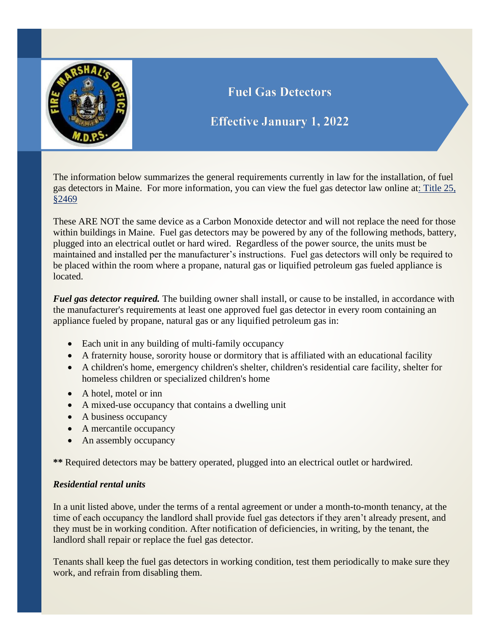

## **Fuel Gas Detectors**

## **Effective January 1, 2022**

The information below summarizes the general requirements currently in law for the installation, of fuel gas detectors in Maine. For more information, you can view the fuel gas detector law online at: Title 25, §2469

These ARE NOT the same device as a Carbon Monoxide detector and will not replace the need for those within buildings in Maine. Fuel gas detectors may be powered by any of the following methods, battery, plugged into an electrical outlet or hard wired. Regardless of the power source, the units must be maintained and installed per the manufacturer's instructions. Fuel gas detectors will only be required to be placed within the room where a propane, natural gas or liquified petroleum gas fueled appliance is located.

*Fuel gas detector required.* The building owner shall install, or cause to be installed, in accordance with the manufacturer's requirements at least one approved fuel gas detector in every room containing an appliance fueled by propane, natural gas or any liquified petroleum gas in:

- Each unit in any building of multi-family occupancy
- A fraternity house, sorority house or dormitory that is affiliated with an educational facility
- A children's home, emergency children's shelter, children's residential care facility, shelter for homeless children or specialized children's home
- A hotel, motel or inn
- A mixed-use occupancy that contains a dwelling unit
- A business occupancy
- A mercantile occupancy
- An assembly occupancy

**\*\*** Required detectors may be battery operated, plugged into an electrical outlet or hardwired.

## *Residential rental units*

In a unit listed above, under the terms of a rental agreement or under a month-to-month tenancy, at the time of each occupancy the landlord shall provide fuel gas detectors if they aren't already present, and they must be in working condition. After notification of deficiencies, in writing, by the tenant, the landlord shall repair or replace the fuel gas detector.

Tenants shall keep the fuel gas detectors in working condition, test them periodically to make sure they work, and refrain from disabling them.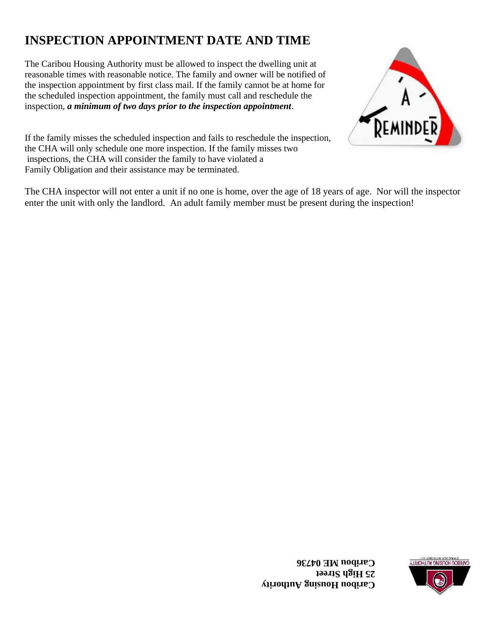# **INSPECTION APPOINTMENT DATE AND TIME**

The Caribou Housing Authority must be allowed to inspect the dwelling unit at reasonable times with reasonable notice. The family and owner will be notified of the inspection appointment by first class mail. If the family cannot be at home for the scheduled inspection appointment, the family must call and reschedule the inspection, *a minimum of two days prior to the inspection appointment*.



If the family misses the scheduled inspection and fails to reschedule the inspection, the CHA will only schedule one more inspection. If the family misses two inspections, the CHA will consider the family to have violated a Family Obligation and their assistance may be terminated.

The CHA inspector will not enter a unit if no one is home, over the age of 18 years of age. Nor will the inspector enter the unit with only the landlord. An adult family member must be present during the inspection!

> **aribou Housing Authority C 25 High Street Caribou ME 04736**

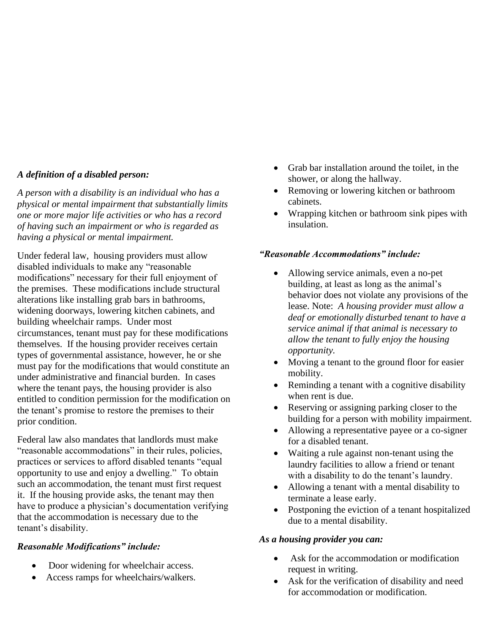#### *A definition of a disabled person:*

*A person with a disability is an individual who has a physical or mental impairment that substantially limits one or more major life activities or who has a record of having such an impairment or who is regarded as having a physical or mental impairment.*

Under federal law, housing providers must allow disabled individuals to make any "reasonable modifications" necessary for their full enjoyment of the premises. These modifications include structural alterations like installing grab bars in bathrooms, widening doorways, lowering kitchen cabinets, and building wheelchair ramps. Under most circumstances, tenant must pay for these modifications themselves. If the housing provider receives certain types of governmental assistance, however, he or she must pay for the modifications that would constitute an under administrative and financial burden. In cases where the tenant pays, the housing provider is also entitled to condition permission for the modification on the tenant's promise to restore the premises to their prior condition.

Federal law also mandates that landlords must make "reasonable accommodations" in their rules, policies, practices or services to afford disabled tenants "equal opportunity to use and enjoy a dwelling." To obtain such an accommodation, the tenant must first request it. If the housing provide asks, the tenant may then have to produce a physician's documentation verifying that the accommodation is necessary due to the tenant's disability.

## *Reasonable Modifications" include:*

- Door widening for wheelchair access.
- Access ramps for wheelchairs/walkers.
- Grab bar installation around the toilet, in the shower, or along the hallway.
- Removing or lowering kitchen or bathroom cabinets.
- Wrapping kitchen or bathroom sink pipes with insulation.

#### *"Reasonable Accommodations" include:*

- Allowing service animals, even a no-pet building, at least as long as the animal's behavior does not violate any provisions of the lease. Note: *A housing provider must allow a deaf or emotionally disturbed tenant to have a service animal if that animal is necessary to allow the tenant to fully enjoy the housing opportunity.*
- Moving a tenant to the ground floor for easier mobility.
- Reminding a tenant with a cognitive disability when rent is due.
- Reserving or assigning parking closer to the building for a person with mobility impairment.
- Allowing a representative payee or a co-signer for a disabled tenant.
- Waiting a rule against non-tenant using the laundry facilities to allow a friend or tenant with a disability to do the tenant's laundry.
- Allowing a tenant with a mental disability to terminate a lease early.
- Postponing the eviction of a tenant hospitalized due to a mental disability.

#### *As a housing provider you can:*

- Ask for the accommodation or modification request in writing.
- Ask for the verification of disability and need for accommodation or modification.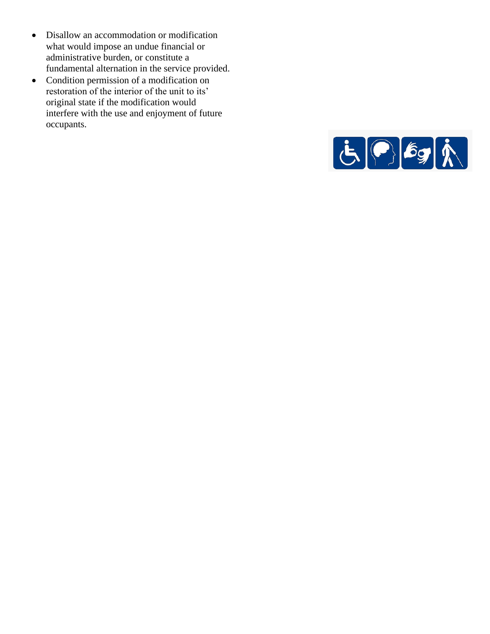- Disallow an accommodation or modification what would impose an undue financial or administrative burden, or constitute a fundamental alternation in the service provided.
- Condition permission of a modification on restoration of the interior of the unit to its' original state if the modification would interfere with the use and enjoyment of future occupants.